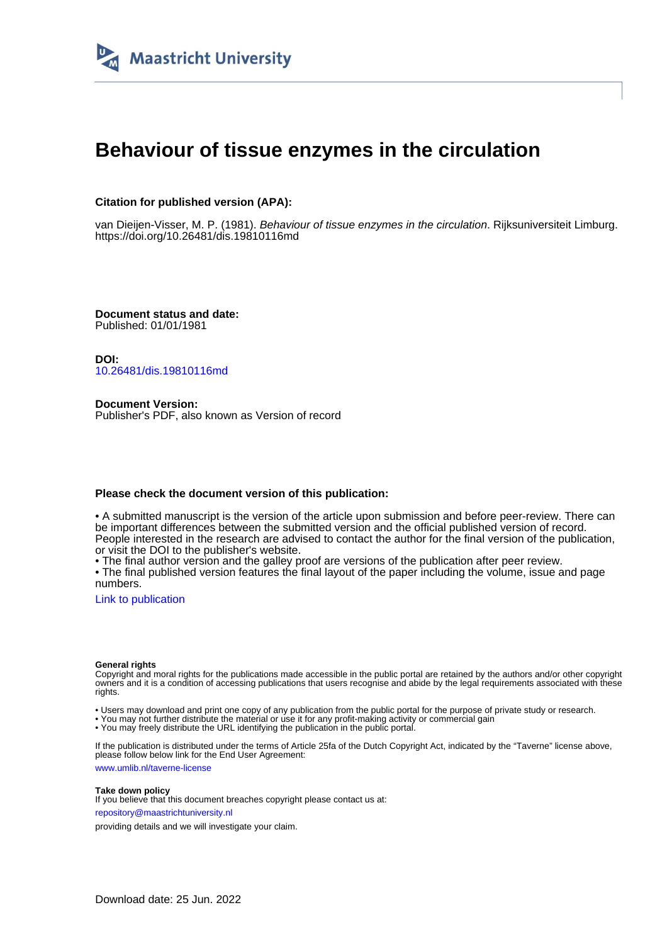

# **Behaviour of tissue enzymes in the circulation**

# **Citation for published version (APA):**

van Dieijen-Visser, M. P. (1981). Behaviour of tissue enzymes in the circulation. Rijksuniversiteit Limburg. <https://doi.org/10.26481/dis.19810116md>

**Document status and date:** Published: 01/01/1981

**DOI:** [10.26481/dis.19810116md](https://doi.org/10.26481/dis.19810116md)

**Document Version:** Publisher's PDF, also known as Version of record

## **Please check the document version of this publication:**

• A submitted manuscript is the version of the article upon submission and before peer-review. There can be important differences between the submitted version and the official published version of record. People interested in the research are advised to contact the author for the final version of the publication, or visit the DOI to the publisher's website.

• The final author version and the galley proof are versions of the publication after peer review.

• The final published version features the final layout of the paper including the volume, issue and page numbers.

[Link to publication](https://cris.maastrichtuniversity.nl/en/publications/1b991c90-be8d-422b-860a-b6780b845894)

#### **General rights**

Copyright and moral rights for the publications made accessible in the public portal are retained by the authors and/or other copyright owners and it is a condition of accessing publications that users recognise and abide by the legal requirements associated with these rights.

• Users may download and print one copy of any publication from the public portal for the purpose of private study or research.

• You may not further distribute the material or use it for any profit-making activity or commercial gain

• You may freely distribute the URL identifying the publication in the public portal.

If the publication is distributed under the terms of Article 25fa of the Dutch Copyright Act, indicated by the "Taverne" license above, please follow below link for the End User Agreement:

www.umlib.nl/taverne-license

### **Take down policy**

If you believe that this document breaches copyright please contact us at: repository@maastrichtuniversity.nl

providing details and we will investigate your claim.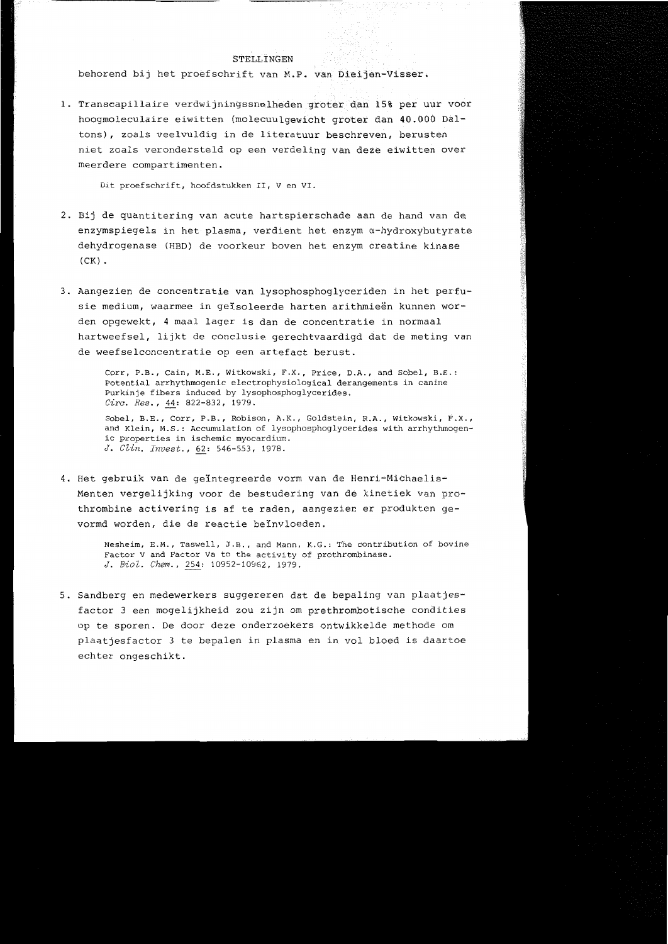#### STELLINGEN

behorend bij het proefschrift van M.P. van Dieijen-Visser.

1. Transcapillaire verdwijningssnelheden groter dan 15% per uur voor hoogmoleculaire eiwitten (molecuulqewicht groter dan 40.000 Daltons), zoals veelvuldig in de literatuur beschreven, berusten niet zoals verondersteld op een verdeling van deze eiwitten over meerdere compartimenten.

Dit proefschrift, hoofdstukken II, V en VI.

- 2. Bij de quantitering van acute hartspierschade aan de hand van de enzymspiegels in het plasma, verdient het enzym a-hydroxybutyrate dehydrogenase (HBD) de voorkeur boven het enzym creatine kinase  $(CK)$ .
- 3. Aangezien de concentratie van lysophosphoglyceriden in het perfusie medium, waarmee in geisoleerde harten arithmieën kunnen worden opgewekt, 4 maal lager is dan de concentratie in normaal hartweefsel, lijkt de conclusie gerechtvaardigd dat de meting van de weefselconcentratie op een artefact berust.

Corr, P.B., Cain, M.E., Witkowski, F.X., Price, D.A., and Sobel, B.E.: Potential arrhythmogenic electrophysiological derangements in canine Purkinje fibers induced by lysophosphoqlycerides. Circ. Res., 44: 822-832, 1979.

Sobel, B.E., Corr, P.B., Robison, A.K., Goldstein, R.A., Witkowski, F.X., and Klein, M.S.: Accumulation of lysophosphoglycerides with arrhythmogenic properties in ischemic myocardium. J. Clin. Invest., 62: 546-553, 1978.

4. Het gebruik van de geïntegreerde vorm van de Henri-Michaelis-Menten vergelijking voor de bestudering van de kinetiek van prothrombine activering is af te raden, aangezien er produkten gevormd worden, die de reactie beïnvloeden.

> Nesheim, E.M., Taswell, J.B., and Mann, K.G.: The contribution of bovine Factor V and Factor Va to the activity of prothrombinase. J. Biol. Chem., 254: 10952-10962, 1979.

5. Sandberg en medewerkers suggereren dat de bepaling van plaatjesfactor 3 een mogelijkheid zou zijn om prethrombotische condities op te sporen. De door deze onderzoekers ontwikkelde methode om plaatjesfactor 3 te bepalen in plasma en in vol bloed is daartoe echter ongeschikt.